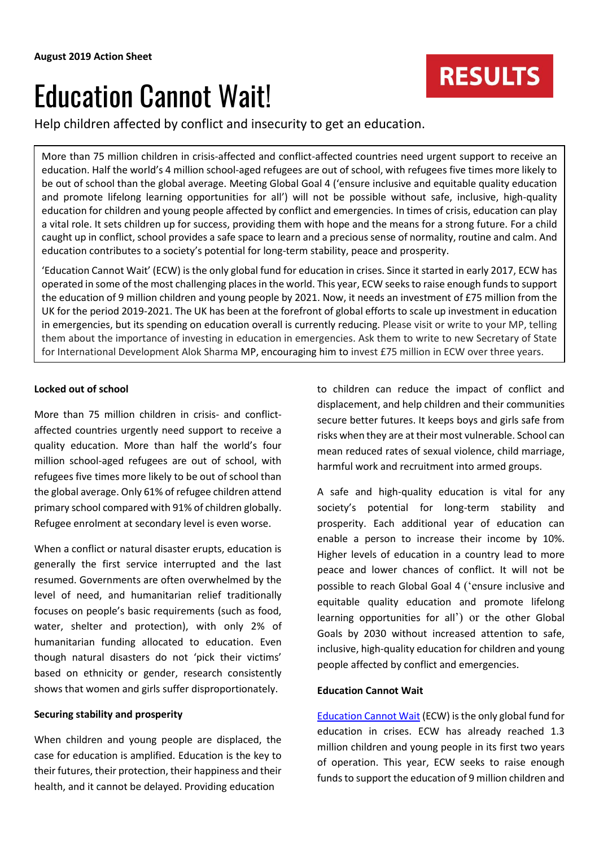# Education Cannot Wait!

Help children affected by conflict and insecurity to get an education.

More than 75 million children in crisis-affected and conflict-affected countries need urgent support to receive an education. Half the world's 4 million school-aged refugees are out of school, with refugees five times more likely to be out of school than the global average. Meeting Global Goal 4 ('ensure inclusive and equitable quality education and promote lifelong learning opportunities for all') will not be possible without safe, inclusive, high-quality education for children and young people affected by conflict and emergencies. In times of crisis, education can play a vital role. It sets children up for success, providing them with hope and the means for a strong future. For a child caught up in conflict, school provides a safe space to learn and a precious sense of normality, routine and calm. And education contributes to a society's potential for long-term stability, peace and prosperity.

'Education Cannot Wait' (ECW) is the only global fund for education in crises. Since it started in early 2017, ECW has operated in some of the most challenging places in the world. This year, ECW seeks to raise enough funds to support the education of 9 million children and young people by 2021. Now, it needs an investment of £75 million from the UK for the period 2019-2021. The UK has been at the forefront of global efforts to scale up investment in education in emergencies, but its spending on education overall is currently reducing. Please visit or write to your MP, telling them about the importance of investing in education in emergencies. Ask them to write to new Secretary of State for International Development Alok Sharma MP, encouraging him to invest £75 million in ECW over three years.

## **Locked out of school**

More than 75 million children in crisis- and conflictaffected countries urgently need support to receive a quality education. More than half the world's four million school-aged refugees are out of school, with refugees five times more likely to be out of school than the global average. Only 61% of refugee children attend primary school compared with 91% of children globally. Refugee enrolment at secondary level is even worse.

When a conflict or natural disaster erupts, education is generally the first service interrupted and the last resumed. Governments are often overwhelmed by the level of need, and humanitarian relief traditionally focuses on people's basic requirements (such as food, water, shelter and protection), with only 2% of humanitarian funding allocated to education. Even though natural disasters do not 'pick their victims' based on ethnicity or gender, research consistently shows that women and girls suffer disproportionately.

## **Securing stability and prosperity**

When children and young people are displaced, the case for education is amplified. Education is the key to their futures, their protection, their happiness and their health, and it cannot be delayed. Providing education

to children can reduce the impact of conflict and displacement, and help children and their communities secure better futures. It keeps boys and girls safe from risks when they are at their most vulnerable. School can mean reduced rates of sexual violence, child marriage, harmful work and recruitment into armed groups.

A safe and high-quality education is vital for any society's potential for long-term stability and prosperity. Each additional year of education can enable a person to increase their income by 10%. Higher levels of education in a country lead to more peace and lower chances of conflict. It will not be possible to reach Global Goal 4 ('ensure inclusive and equitable quality education and promote lifelong learning opportunities for all') or the other Global Goals by 2030 without increased attention to safe, inclusive, high-quality education for children and young people affected by conflict and emergencies.

## **Education Cannot Wait**

[Education Cannot Wait](https://www.educationcannotwait.org/) (ECW) is the only global fund for education in crises. ECW has already reached 1.3 million children and young people in its first two years of operation. This year, ECW seeks to raise enough funds to support the education of 9 million children and